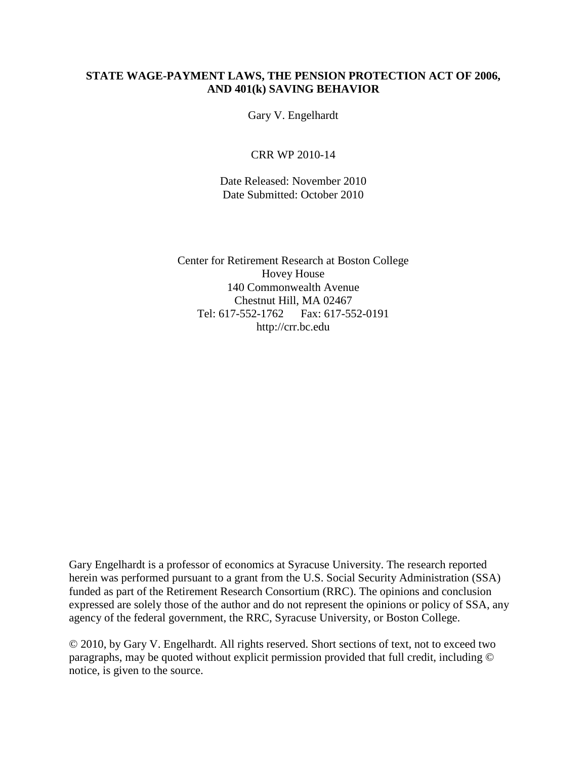### **STATE WAGE-PAYMENT LAWS, THE PENSION PROTECTION ACT OF 2006, AND 401(k) SAVING BEHAVIOR**

Gary V. Engelhardt

CRR WP 2010-14

Date Released: November 2010 Date Submitted: October 2010

Center for Retirement Research at Boston College Hovey House 140 Commonwealth Avenue Chestnut Hill, MA 02467 Tel: 617-552-1762 Fax: 617-552-0191 http://crr.bc.edu

Gary Engelhardt is a professor of economics at Syracuse University. The research reported herein was performed pursuant to a grant from the U.S. Social Security Administration (SSA) funded as part of the Retirement Research Consortium (RRC). The opinions and conclusion expressed are solely those of the author and do not represent the opinions or policy of SSA, any agency of the federal government, the RRC, Syracuse University, or Boston College.

© 2010, by Gary V. Engelhardt. All rights reserved. Short sections of text, not to exceed two paragraphs, may be quoted without explicit permission provided that full credit, including © notice, is given to the source.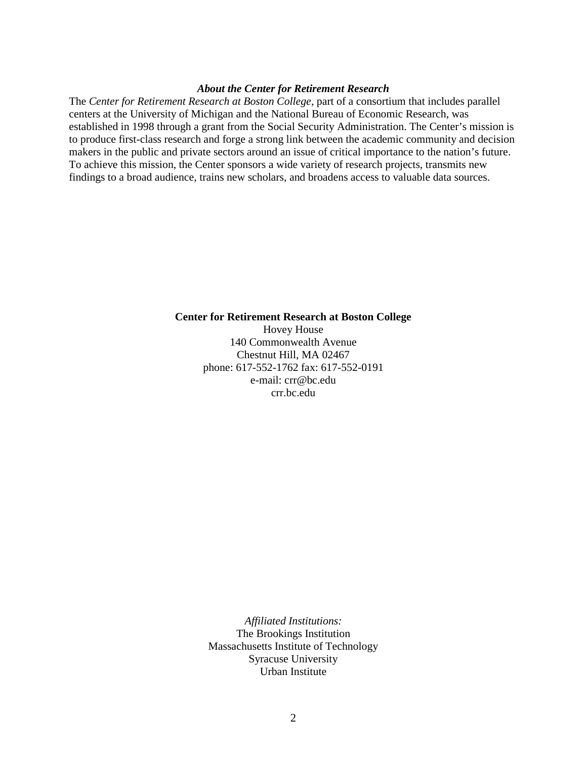#### *About the Center for Retirement Research*

The *Center for Retirement Research at Boston College*, part of a consortium that includes parallel centers at the University of Michigan and the National Bureau of Economic Research, was established in 1998 through a grant from the Social Security Administration. The Center's mission is to produce first-class research and forge a strong link between the academic community and decision makers in the public and private sectors around an issue of critical importance to the nation's future. To achieve this mission, the Center sponsors a wide variety of research projects, transmits new findings to a broad audience, trains new scholars, and broadens access to valuable data sources.

#### **Center for Retirement Research at Boston College** Hovey House 140 Commonwealth Avenue Chestnut Hill, MA 02467 phone: 617-552-1762 fax: 617-552-0191 e-mail: crr@bc.edu

crr.bc.edu

*Affiliated Institutions:* The Brookings Institution Massachusetts Institute of Technology Syracuse University Urban Institute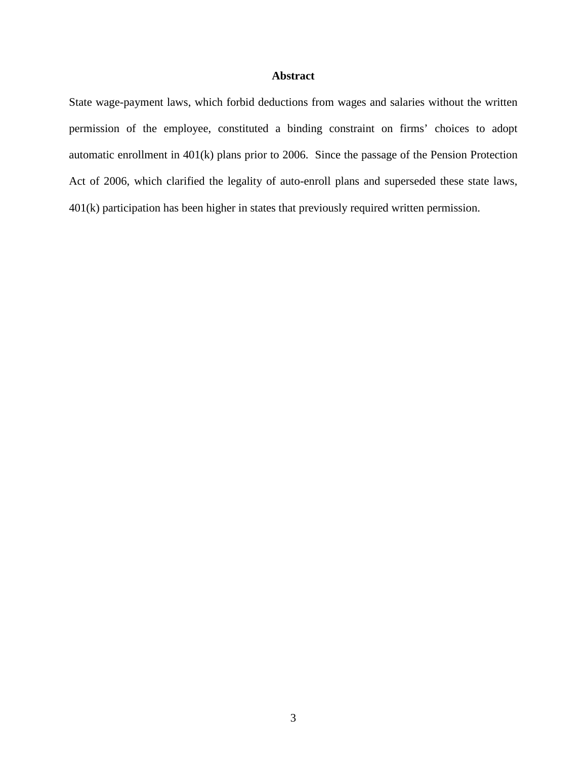#### **Abstract**

State wage-payment laws, which forbid deductions from wages and salaries without the written permission of the employee, constituted a binding constraint on firms' choices to adopt automatic enrollment in 401(k) plans prior to 2006. Since the passage of the Pension Protection Act of 2006, which clarified the legality of auto-enroll plans and superseded these state laws, 401(k) participation has been higher in states that previously required written permission.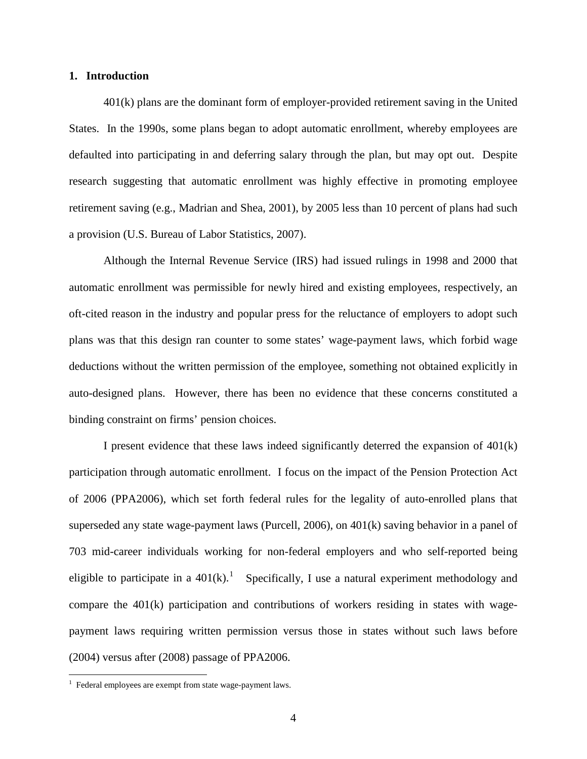#### **1. Introduction**

401(k) plans are the dominant form of employer-provided retirement saving in the United States. In the 1990s, some plans began to adopt automatic enrollment, whereby employees are defaulted into participating in and deferring salary through the plan, but may opt out. Despite research suggesting that automatic enrollment was highly effective in promoting employee retirement saving (e.g., Madrian and Shea, 2001), by 2005 less than 10 percent of plans had such a provision (U.S. Bureau of Labor Statistics, 2007).

Although the Internal Revenue Service (IRS) had issued rulings in 1998 and 2000 that automatic enrollment was permissible for newly hired and existing employees, respectively, an oft-cited reason in the industry and popular press for the reluctance of employers to adopt such plans was that this design ran counter to some states' wage-payment laws, which forbid wage deductions without the written permission of the employee, something not obtained explicitly in auto-designed plans. However, there has been no evidence that these concerns constituted a binding constraint on firms' pension choices.

I present evidence that these laws indeed significantly deterred the expansion of 401(k) participation through automatic enrollment. I focus on the impact of the Pension Protection Act of 2006 (PPA2006), which set forth federal rules for the legality of auto-enrolled plans that superseded any state wage-payment laws (Purcell, 2006), on 401(k) saving behavior in a panel of 703 mid-career individuals working for non-federal employers and who self-reported being eligible to participate in a  $401(k)$  $401(k)$  $401(k)$ .<sup>1</sup> Specifically, I use a natural experiment methodology and compare the  $401(k)$  participation and contributions of workers residing in states with wagepayment laws requiring written permission versus those in states without such laws before (2004) versus after (2008) passage of PPA2006.

 $\overline{a}$ 

<span id="page-3-0"></span><sup>&</sup>lt;sup>1</sup> Federal employees are exempt from state wage-payment laws.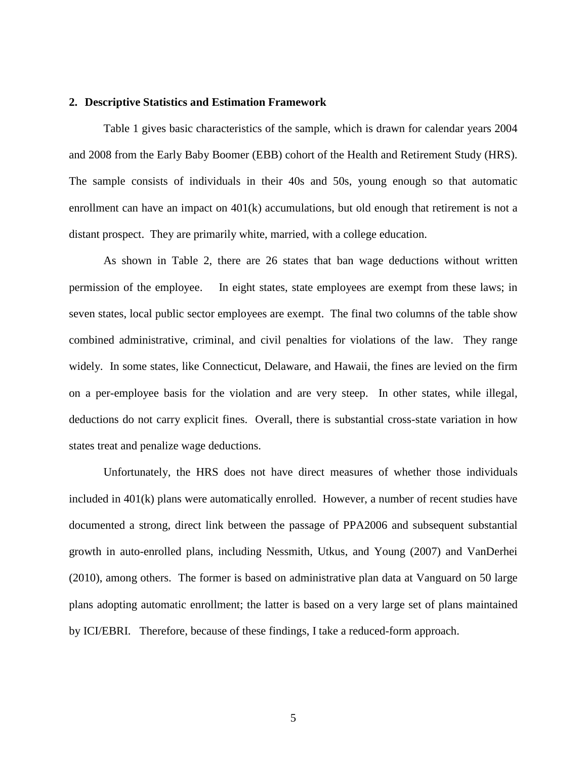#### **2. Descriptive Statistics and Estimation Framework**

Table 1 gives basic characteristics of the sample, which is drawn for calendar years 2004 and 2008 from the Early Baby Boomer (EBB) cohort of the Health and Retirement Study (HRS). The sample consists of individuals in their 40s and 50s, young enough so that automatic enrollment can have an impact on  $401(k)$  accumulations, but old enough that retirement is not a distant prospect. They are primarily white, married, with a college education.

As shown in Table 2, there are 26 states that ban wage deductions without written permission of the employee. In eight states, state employees are exempt from these laws; in seven states, local public sector employees are exempt. The final two columns of the table show combined administrative, criminal, and civil penalties for violations of the law. They range widely. In some states, like Connecticut, Delaware, and Hawaii, the fines are levied on the firm on a per-employee basis for the violation and are very steep. In other states, while illegal, deductions do not carry explicit fines. Overall, there is substantial cross-state variation in how states treat and penalize wage deductions.

Unfortunately, the HRS does not have direct measures of whether those individuals included in 401(k) plans were automatically enrolled. However, a number of recent studies have documented a strong, direct link between the passage of PPA2006 and subsequent substantial growth in auto-enrolled plans, including Nessmith, Utkus, and Young (2007) and VanDerhei (2010), among others. The former is based on administrative plan data at Vanguard on 50 large plans adopting automatic enrollment; the latter is based on a very large set of plans maintained by ICI/EBRI. Therefore, because of these findings, I take a reduced-form approach.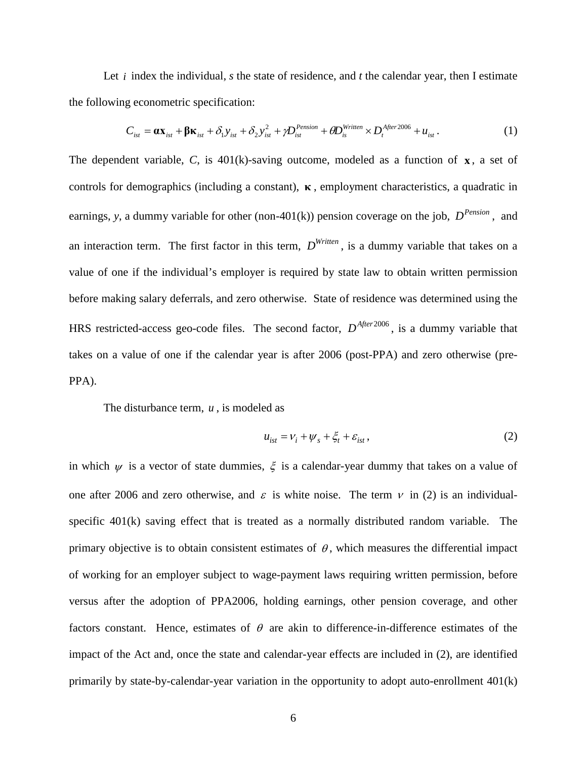Let  $i$  index the individual,  $s$  the state of residence, and  $t$  the calendar year, then I estimate the following econometric specification:

$$
C_{\rm{ist}} = \alpha \mathbf{x}_{\rm{ist}} + \beta \mathbf{\kappa}_{\rm{ist}} + \delta_1 y_{\rm{ist}} + \delta_2 y_{\rm{ist}}^2 + \gamma D_{\rm{ist}}^{Pension} + \theta D_{\rm{is}}^{Written} \times D_t^{After 2006} + u_{\rm{ist}}.
$$
 (1)

The dependent variable, *C*, is 401(k)-saving outcome, modeled as a function of **x** , a set of controls for demographics (including a constant), **κ** , employment characteristics, a quadratic in earnings, *y*, a dummy variable for other (non-401(k)) pension coverage on the job,  $D^{Pension}$ , and an interaction term. The first factor in this term,  $D^{Written}$ , is a dummy variable that takes on a value of one if the individual's employer is required by state law to obtain written permission before making salary deferrals, and zero otherwise. State of residence was determined using the HRS restricted-access geo-code files. The second factor,  $D^{After 2006}$ , is a dummy variable that takes on a value of one if the calendar year is after 2006 (post-PPA) and zero otherwise (pre-PPA).

The disturbance term, *u* , is modeled as

$$
u_{ist} = v_i + \psi_s + \xi_t + \varepsilon_{ist}, \qquad (2)
$$

in which  $\psi$  is a vector of state dummies,  $\xi$  is a calendar-year dummy that takes on a value of one after 2006 and zero otherwise, and  $\varepsilon$  is white noise. The term  $v$  in (2) is an individualspecific 401(k) saving effect that is treated as a normally distributed random variable. The primary objective is to obtain consistent estimates of  $\theta$ , which measures the differential impact of working for an employer subject to wage-payment laws requiring written permission, before versus after the adoption of PPA2006, holding earnings, other pension coverage, and other factors constant. Hence, estimates of  $\theta$  are akin to difference-in-difference estimates of the impact of the Act and, once the state and calendar-year effects are included in (2), are identified primarily by state-by-calendar-year variation in the opportunity to adopt auto-enrollment 401(k)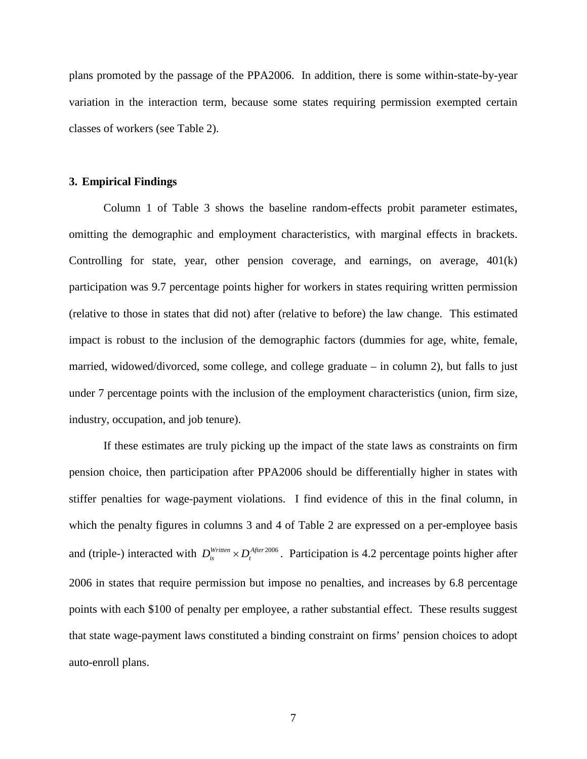plans promoted by the passage of the PPA2006. In addition, there is some within-state-by-year variation in the interaction term, because some states requiring permission exempted certain classes of workers (see Table 2).

#### **3. Empirical Findings**

Column 1 of Table 3 shows the baseline random-effects probit parameter estimates, omitting the demographic and employment characteristics, with marginal effects in brackets. Controlling for state, year, other pension coverage, and earnings, on average,  $401(k)$ participation was 9.7 percentage points higher for workers in states requiring written permission (relative to those in states that did not) after (relative to before) the law change. This estimated impact is robust to the inclusion of the demographic factors (dummies for age, white, female, married, widowed/divorced, some college, and college graduate – in column 2), but falls to just under 7 percentage points with the inclusion of the employment characteristics (union, firm size, industry, occupation, and job tenure).

If these estimates are truly picking up the impact of the state laws as constraints on firm pension choice, then participation after PPA2006 should be differentially higher in states with stiffer penalties for wage-payment violations. I find evidence of this in the final column, in which the penalty figures in columns 3 and 4 of Table 2 are expressed on a per-employee basis and (triple-) interacted with  $D_{is}^{Written} \times D_{t}^{After 2006}$ . Participation is 4.2 percentage points higher after 2006 in states that require permission but impose no penalties, and increases by 6.8 percentage points with each \$100 of penalty per employee, a rather substantial effect. These results suggest that state wage-payment laws constituted a binding constraint on firms' pension choices to adopt auto-enroll plans.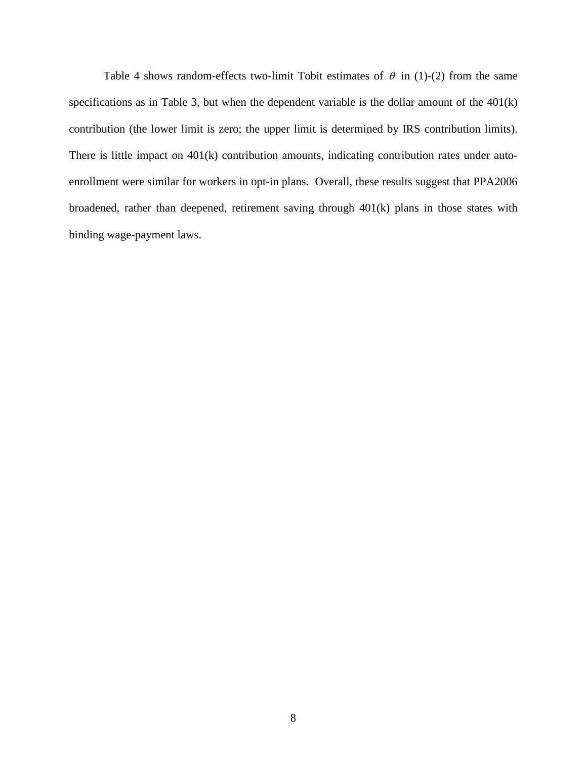Table 4 shows random-effects two-limit Tobit estimates of  $\theta$  in (1)-(2) from the same specifications as in Table 3, but when the dependent variable is the dollar amount of the 401(k) contribution (the lower limit is zero; the upper limit is determined by IRS contribution limits). There is little impact on 401(k) contribution amounts, indicating contribution rates under autoenrollment were similar for workers in opt-in plans. Overall, these results suggest that PPA2006 broadened, rather than deepened, retirement saving through 401(k) plans in those states with binding wage-payment laws.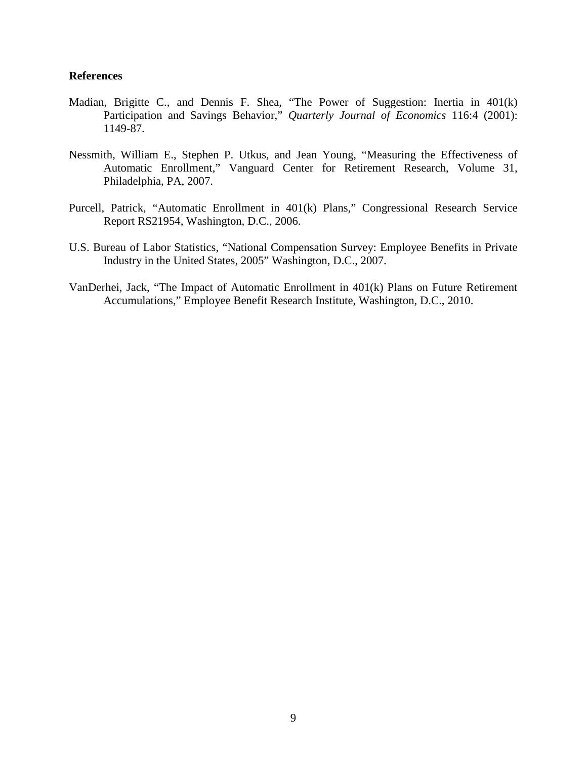#### **References**

- Madian, Brigitte C., and Dennis F. Shea, "The Power of Suggestion: Inertia in 401(k) Participation and Savings Behavior," *Quarterly Journal of Economics* 116:4 (2001): 1149-87.
- Nessmith, William E., Stephen P. Utkus, and Jean Young, "Measuring the Effectiveness of Automatic Enrollment," Vanguard Center for Retirement Research, Volume 31, Philadelphia, PA, 2007.
- Purcell, Patrick, "Automatic Enrollment in 401(k) Plans," Congressional Research Service Report RS21954, Washington, D.C., 2006.
- U.S. Bureau of Labor Statistics, "National Compensation Survey: Employee Benefits in Private Industry in the United States, 2005" Washington, D.C., 2007.
- VanDerhei, Jack, "The Impact of Automatic Enrollment in 401(k) Plans on Future Retirement Accumulations," Employee Benefit Research Institute, Washington, D.C., 2010.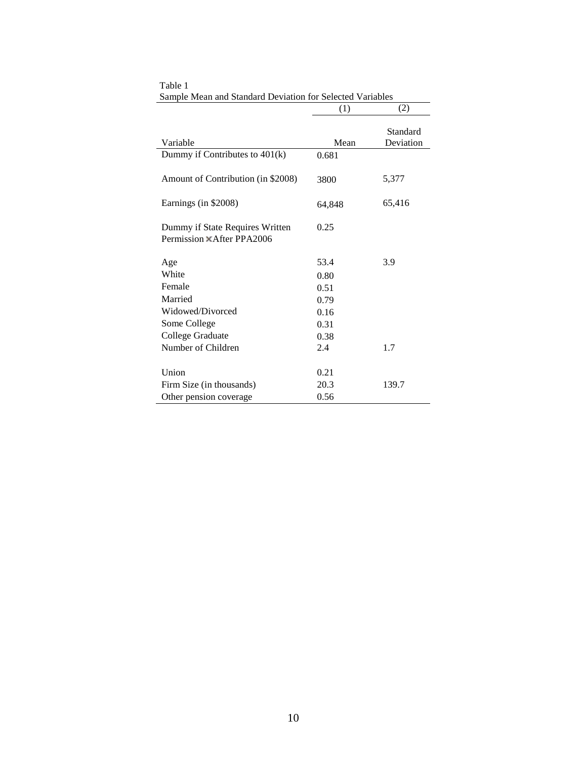|                                                                     | (1)    | (2)                   |
|---------------------------------------------------------------------|--------|-----------------------|
| Variable                                                            | Mean   | Standard<br>Deviation |
|                                                                     |        |                       |
| Dummy if Contributes to $401(k)$                                    | 0.681  |                       |
| Amount of Contribution (in \$2008)                                  | 3800   | 5,377                 |
| Earnings (in \$2008)                                                | 64,848 | 65,416                |
| Dummy if State Requires Written<br>Permission <b>×After PPA2006</b> | 0.25   |                       |
| Age                                                                 | 53.4   | 3.9                   |
| White                                                               | 0.80   |                       |
| Female                                                              | 0.51   |                       |
| Married                                                             | 0.79   |                       |
| Widowed/Divorced                                                    | 0.16   |                       |
| Some College                                                        | 0.31   |                       |
| College Graduate                                                    | 0.38   |                       |
| Number of Children                                                  | 2.4    | 1.7                   |
| Union                                                               | 0.21   |                       |
| Firm Size (in thousands)                                            | 20.3   | 139.7                 |
| Other pension coverage                                              | 0.56   |                       |

Table 1 Sample Mean and Standard Deviation for Selected Variables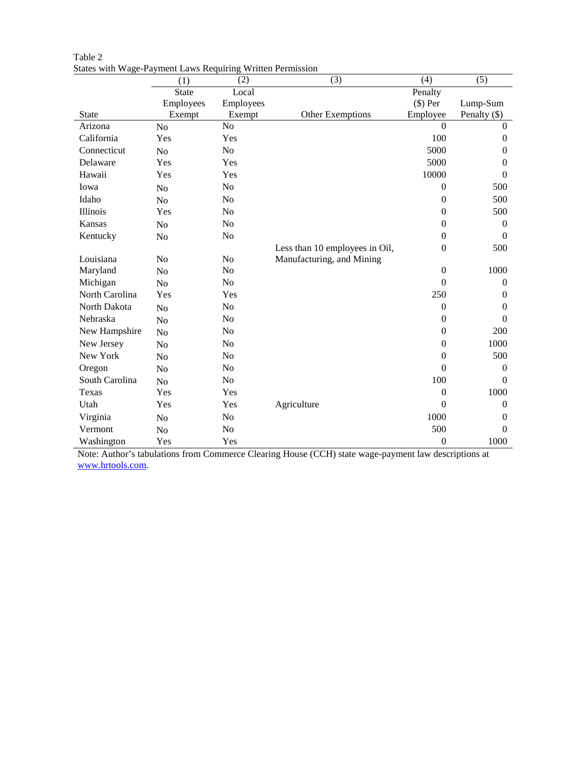|                | (1)            | (2)            | (3)                            | (4)              | (5)              |
|----------------|----------------|----------------|--------------------------------|------------------|------------------|
|                | <b>State</b>   | Local          |                                | Penalty          |                  |
|                | Employees      | Employees      |                                | \$) Per          | Lump-Sum         |
| State          | Exempt         | Exempt         | Other Exemptions               | Employee         | Penalty (\$)     |
| Arizona        | N <sub>o</sub> | N <sub>o</sub> |                                | $\Omega$         | $\mathbf{0}$     |
| California     | Yes            | Yes            |                                | 100              | $\theta$         |
| Connecticut    | N <sub>o</sub> | No             |                                | 5000             | $\boldsymbol{0}$ |
| Delaware       | Yes            | Yes            |                                | 5000             | $\boldsymbol{0}$ |
| Hawaii         | Yes            | Yes            |                                | 10000            | $\boldsymbol{0}$ |
| Iowa           | N <sub>o</sub> | No             |                                | $\Omega$         | 500              |
| Idaho          | No             | N <sub>o</sub> |                                | $\Omega$         | 500              |
| Illinois       | Yes            | No             |                                | $\boldsymbol{0}$ | 500              |
| Kansas         | N <sub>o</sub> | No             |                                | $\boldsymbol{0}$ | $\boldsymbol{0}$ |
| Kentucky       | N <sub>o</sub> | N <sub>o</sub> |                                | $\overline{0}$   | $\mathbf{0}$     |
|                |                |                | Less than 10 employees in Oil, | $\Omega$         | 500              |
| Louisiana      | No             | No             | Manufacturing, and Mining      |                  |                  |
| Maryland       | N <sub>o</sub> | N <sub>o</sub> |                                | $\boldsymbol{0}$ | 1000             |
| Michigan       | N <sub>o</sub> | No             |                                | $\Omega$         | $\boldsymbol{0}$ |
| North Carolina | Yes            | Yes            |                                | 250              | $\mathbf{0}$     |
| North Dakota   | N <sub>o</sub> | N <sub>o</sub> |                                | $\boldsymbol{0}$ | $\boldsymbol{0}$ |
| Nebraska       | N <sub>o</sub> | No             |                                | $\overline{0}$   | $\Omega$         |
| New Hampshire  | N <sub>o</sub> | N <sub>o</sub> |                                | $\overline{0}$   | 200              |
| New Jersey     | No             | No             |                                | $\boldsymbol{0}$ | 1000             |
| New York       | No             | N <sub>o</sub> |                                | $\Omega$         | 500              |
| Oregon         | N <sub>o</sub> | No             |                                | $\overline{0}$   | $\mathbf{0}$     |
| South Carolina | N <sub>o</sub> | No             |                                | 100              | $\Omega$         |
| Texas          | Yes            | Yes            |                                | $\mathbf{0}$     | 1000             |
| Utah           | Yes            | Yes            | Agriculture                    | $\theta$         | $\boldsymbol{0}$ |
| Virginia       | N <sub>o</sub> | No             |                                | 1000             | $\boldsymbol{0}$ |
| Vermont        | No             | No             |                                | 500              | $\Omega$         |
| Washington     | Yes            | Yes            |                                | $\boldsymbol{0}$ | 1000             |

| Table 2 |                                                            |
|---------|------------------------------------------------------------|
|         | States with Wage-Payment Laws Requiring Written Permission |

Note: Author's tabulations from Commerce Clearing House (CCH) state wage-payment law descriptions at [www.hrtools.com.](http://www.hrtools.com/)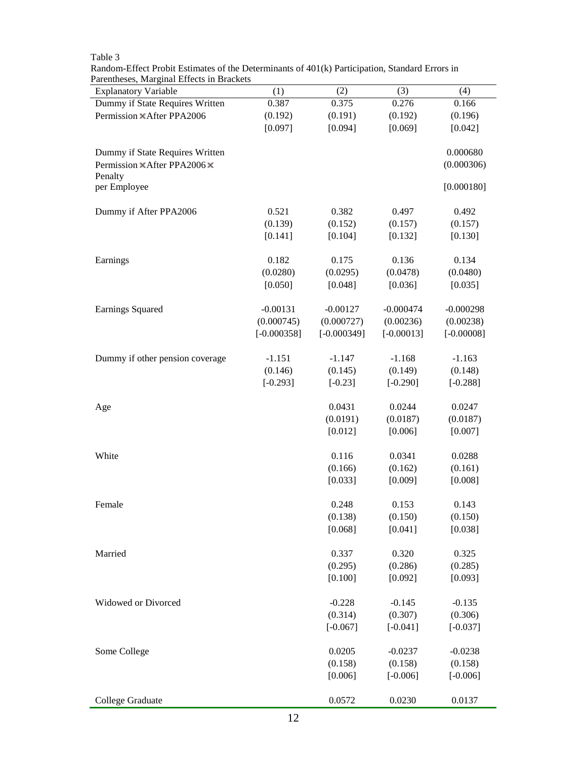Table 3

Random-Effect Probit Estimates of the Determinants of 401(k) Participation, Standard Errors in Parentheses, Marginal Effects in Brackets

| <b>Explanatory Variable</b>     | (1)           | (2)           | (3)          | (4)          |
|---------------------------------|---------------|---------------|--------------|--------------|
| Dummy if State Requires Written | 0.387         | 0.375         | 0.276        | 0.166        |
| Permission ×After PPA2006       | (0.192)       | (0.191)       | (0.192)      | (0.196)      |
|                                 | [0.097]       | [0.094]       | [0.069]      | [0.042]      |
| Dummy if State Requires Written |               |               |              | 0.000680     |
| Permission ×After PPA2006 ×     |               |               |              | (0.000306)   |
| Penalty<br>per Employee         |               |               |              | [0.000180]   |
|                                 |               |               |              |              |
| Dummy if After PPA2006          | 0.521         | 0.382         | 0.497        | 0.492        |
|                                 | (0.139)       | (0.152)       | (0.157)      | (0.157)      |
|                                 | [0.141]       | [0.104]       | [0.132]      | [0.130]      |
| Earnings                        | 0.182         | 0.175         | 0.136        | 0.134        |
|                                 | (0.0280)      | (0.0295)      | (0.0478)     | (0.0480)     |
|                                 | [0.050]       | [0.048]       | [0.036]      | [0.035]      |
| <b>Earnings Squared</b>         | $-0.00131$    | $-0.00127$    | $-0.000474$  | $-0.000298$  |
|                                 | (0.000745)    | (0.000727)    | (0.00236)    | (0.00238)    |
|                                 | $[-0.000358]$ | $[-0.000349]$ | $[-0.00013]$ | $[-0.00008]$ |
| Dummy if other pension coverage | $-1.151$      | $-1.147$      | $-1.168$     | $-1.163$     |
|                                 | (0.146)       | (0.145)       | (0.149)      | (0.148)      |
|                                 | $[-0.293]$    | $[-0.23]$     | $[-0.290]$   | $[-0.288]$   |
| Age                             |               | 0.0431        | 0.0244       | 0.0247       |
|                                 |               | (0.0191)      | (0.0187)     | (0.0187)     |
|                                 |               | [0.012]       | [0.006]      | [0.007]      |
| White                           |               | 0.116         | 0.0341       | 0.0288       |
|                                 |               | (0.166)       | (0.162)      | (0.161)      |
|                                 |               | [0.033]       | [0.009]      | [0.008]      |
| Female                          |               | 0.248         | 0.153        | 0.143        |
|                                 |               | (0.138)       | (0.150)      | (0.150)      |
|                                 |               | [0.068]       | [0.041]      | [0.038]      |
| Married                         |               | 0.337         | 0.320        | 0.325        |
|                                 |               | (0.295)       | (0.286)      | (0.285)      |
|                                 |               | [0.100]       | [0.092]      | [0.093]      |
| Widowed or Divorced             |               | $-0.228$      | $-0.145$     | $-0.135$     |
|                                 |               | (0.314)       | (0.307)      | (0.306)      |
|                                 |               | $[-0.067]$    | $[-0.041]$   | $[-0.037]$   |
|                                 |               |               |              |              |
| Some College                    |               | 0.0205        | $-0.0237$    | $-0.0238$    |
|                                 |               | (0.158)       | (0.158)      | (0.158)      |
|                                 |               | [0.006]       | $[-0.006]$   | $[-0.006]$   |
| College Graduate                |               | 0.0572        | 0.0230       | 0.0137       |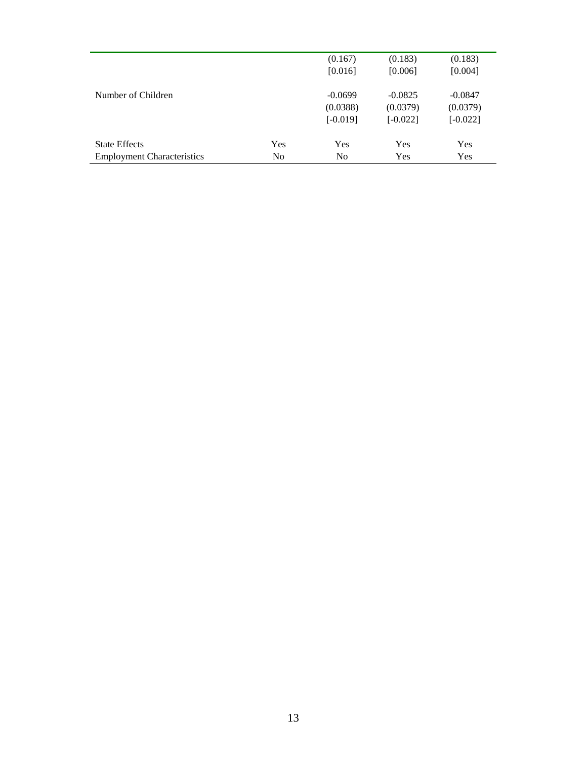|                                   |                | (0.167)<br>[0.016]     | (0.183)<br>[0.006]     | (0.183)<br>[0.004]     |
|-----------------------------------|----------------|------------------------|------------------------|------------------------|
| Number of Children                |                | $-0.0699$              | $-0.0825$              | $-0.0847$              |
|                                   |                | (0.0388)<br>$[-0.019]$ | (0.0379)<br>$[-0.022]$ | (0.0379)<br>$[-0.022]$ |
| <b>State Effects</b>              | Yes            | Yes                    | Yes                    | Yes                    |
| <b>Employment Characteristics</b> | N <sub>0</sub> | N <sub>0</sub>         | Yes                    | Yes                    |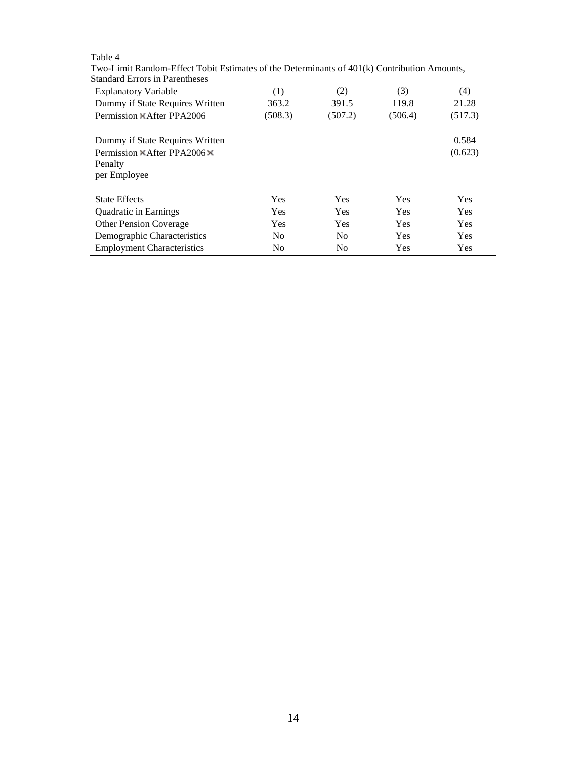Table 4

Two-Limit Random-Effect Tobit Estimates of the Determinants of 401(k) Contribution Amounts, Standard Errors in Parentheses

| <b>Explanatory Variable</b>                                                                                      | (1)            | (2)            | (3)        | (4)              |
|------------------------------------------------------------------------------------------------------------------|----------------|----------------|------------|------------------|
| Dummy if State Requires Written                                                                                  | 363.2          | 391.5          | 119.8      | 21.28            |
| Permission <b>XAfter PPA2006</b>                                                                                 | (508.3)        | (507.2)        | (506.4)    | (517.3)          |
| Dummy if State Requires Written<br>Permission $\mathbb{X}$ After PPA2006 $\mathbb{X}$<br>Penalty<br>per Employee |                |                |            | 0.584<br>(0.623) |
| <b>State Effects</b>                                                                                             | <b>Yes</b>     | <b>Yes</b>     | <b>Yes</b> | <b>Yes</b>       |
| <b>Quadratic in Earnings</b>                                                                                     | <b>Yes</b>     | <b>Yes</b>     | <b>Yes</b> | Yes              |
| <b>Other Pension Coverage</b>                                                                                    | <b>Yes</b>     | Yes            | Yes        | Yes              |
| Demographic Characteristics                                                                                      | N <sub>0</sub> | N <sub>0</sub> | <b>Yes</b> | <b>Yes</b>       |
| <b>Employment Characteristics</b>                                                                                | N <sub>0</sub> | N <sub>0</sub> | <b>Yes</b> | <b>Yes</b>       |